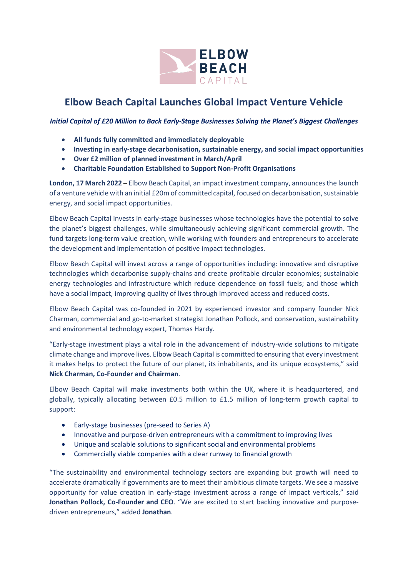

# **Elbow Beach Capital Launches Global Impact Venture Vehicle**

*Initial Capital of £20 Million to Back Early-Stage Businesses Solving the Planet's Biggest Challenges*

- **All funds fully committed and immediately deployable**
- **Investing in early-stage decarbonisation, sustainable energy, and social impact opportunities**
- **Over £2 million of planned investment in March/April**
- **Charitable Foundation Established to Support Non-Profit Organisations**

**London, 17 March 2022 –** Elbow Beach Capital, an impact investment company, announces the launch of a venture vehicle with an initial £20m of committed capital, focused on decarbonisation, sustainable energy, and social impact opportunities.

Elbow Beach Capital invests in early-stage businesses whose technologies have the potential to solve the planet's biggest challenges, while simultaneously achieving significant commercial growth. The fund targets long-term value creation, while working with founders and entrepreneurs to accelerate the development and implementation of positive impact technologies.

Elbow Beach Capital will invest across a range of opportunities including: innovative and disruptive technologies which decarbonise supply-chains and create profitable circular economies; sustainable energy technologies and infrastructure which reduce dependence on fossil fuels; and those which have a social impact, improving quality of lives through improved access and reduced costs.

Elbow Beach Capital was co-founded in 2021 by experienced investor and company founder Nick Charman, commercial and go-to-market strategist Jonathan Pollock, and conservation, sustainability and environmental technology expert, Thomas Hardy.

"Early-stage investment plays a vital role in the advancement of industry-wide solutions to mitigate climate change and improve lives. Elbow Beach Capital is committed to ensuring that every investment it makes helps to protect the future of our planet, its inhabitants, and its unique ecosystems," said **Nick Charman, Co-Founder and Chairman**.

Elbow Beach Capital will make investments both within the UK, where it is headquartered, and globally, typically allocating between £0.5 million to £1.5 million of long-term growth capital to support:

- Early-stage businesses (pre-seed to Series A)
- Innovative and purpose-driven entrepreneurs with a commitment to improving lives
- Unique and scalable solutions to significant social and environmental problems
- Commercially viable companies with a clear runway to financial growth

"The sustainability and environmental technology sectors are expanding but growth will need to accelerate dramatically if governments are to meet their ambitious climate targets. We see a massive opportunity for value creation in early-stage investment across a range of impact verticals," said **Jonathan Pollock, Co-Founder and CEO**. "We are excited to start backing innovative and purposedriven entrepreneurs," added **Jonathan**.